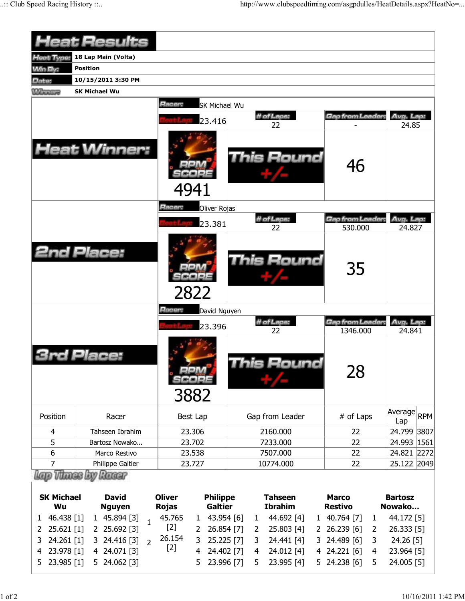|                            | <b>Heat Results</b>              |                                          |                   |                                |                              |  |  |
|----------------------------|----------------------------------|------------------------------------------|-------------------|--------------------------------|------------------------------|--|--|
| <b>Heat Type:</b>          | 18 Lap Main (Volta)              |                                          |                   |                                |                              |  |  |
| <b>Win By:</b>             | <b>Position</b>                  |                                          |                   |                                |                              |  |  |
| Date:                      | 10/15/2011 3:30 PM               |                                          |                   |                                |                              |  |  |
| <b>Williams</b>            | <b>SK Michael Wu</b>             |                                          |                   |                                |                              |  |  |
|                            |                                  | Racer:<br><b>SK Michael Wu</b><br>23.416 | # of Laps:<br>22  | Gap from Leader,               | Avg. Lap:<br>24.85           |  |  |
|                            | <b>Heat Winner:</b>              | 4941                                     | This Round        | 46                             |                              |  |  |
|                            |                                  | Racer:<br>Oliver Rojas                   |                   |                                |                              |  |  |
|                            |                                  |                                          | # of Laps:        | Gap from Leader:               | Avg. Lap:                    |  |  |
|                            |                                  | 23.381                                   | 22                | 530.000                        | 24.827                       |  |  |
|                            | <b>2nd Place:</b>                | 2822                                     | <b>This Round</b> | 35                             |                              |  |  |
|                            |                                  | Racer:<br>David Nguyen                   |                   |                                |                              |  |  |
|                            |                                  | 23.396                                   | # of Laps:        | Gap from Leader:               | Avg. Lap:                    |  |  |
|                            | Place:                           | 3882                                     | 22<br>his Round   | 1346.000<br>28                 | 24.841                       |  |  |
| Position                   | Racer                            | Best Lap                                 | Gap from Leader   | # of Laps                      | Average<br><b>RPM</b><br>Lap |  |  |
| 4                          | Tahseen Ibrahim                  | 23.306                                   | 2160.000          | 22                             | 24.799 3807                  |  |  |
| 5                          | Bartosz Nowako                   | 23.702                                   | 7233.000          | 22                             | 24.993 1561                  |  |  |
| 6                          | Marco Restivo                    | 23.538                                   | 7507.000          | 22                             | 24.821 2272                  |  |  |
| 7                          | Philippe Galtier                 | 23.727                                   | 10774.000         | 22                             | 25.122 2049                  |  |  |
| <b>SK Michael</b>          | Vitings by Raggr<br><b>David</b> | <b>Oliver</b><br><b>Philippe</b>         | <b>Tahseen</b>    | <b>Marco</b>                   | <b>Bartosz</b>               |  |  |
| Wu                         | <b>Nguyen</b>                    | <b>Galtier</b><br><b>Rojas</b>           | <b>Ibrahim</b>    | <b>Restivo</b>                 | Nowako                       |  |  |
| 46.438 [1]<br>$\mathbf{1}$ | 1 45.894 [3]<br>$\mathbf{1}$     | 45.765<br>43.954 [6]<br>$\mathbf{1}$     | 44.692 [4]<br>1   | 1 40.764 [7]<br>$\mathbf{1}$   | 44.172 [5]                   |  |  |
| 2 25.621 [1]               | 2 25.692 [3]                     | $[2]$<br>26.854 [7]<br>$\overline{2}$    | 25.803 [4]<br>2   | 2 26.239 [6]<br>$\overline{2}$ | 26.333 [5]                   |  |  |

2 26.854 [7] 2 25.803 [4] 2 26.239 [6]

3 24.441 [4] 4 24.012 [4] 5 23.995 [4]

3 24.489 [6] 4 24.221 [6] 5 24.238 [6] 2 26.333 [5] 3 24.26 [5] 4 23.964 [5] 5 24.005 [5]

2 25.621 [1] 2 25.692 [3] 3 24.261 [1] 3 24.416 [3] 2 4 23.978 [1] 4 24.071 [3] 5 23.985 [1] 5 24.062 [3]

26.154 [2]

3 25.225 [7] 4 24.402 [7] 5 23.996 [7]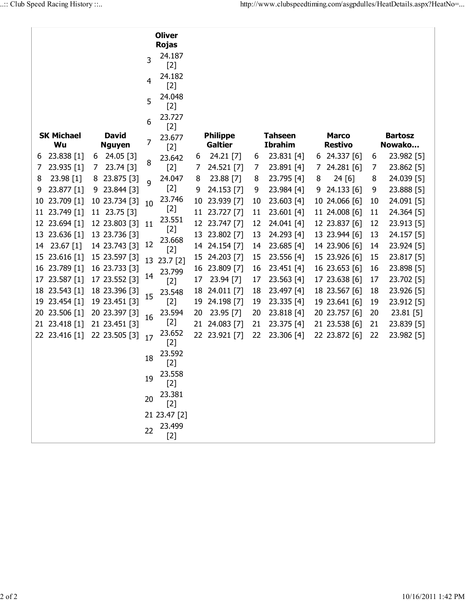|                         |                               |    | <b>Oliver</b><br><b>Rojas</b> |    |                                   |    |                                  |   |                                |    |                          |
|-------------------------|-------------------------------|----|-------------------------------|----|-----------------------------------|----|----------------------------------|---|--------------------------------|----|--------------------------|
|                         |                               | 3  | 24.187<br>$[2]$               |    |                                   |    |                                  |   |                                |    |                          |
|                         |                               | 4  | 24.182<br>$[2]$               |    |                                   |    |                                  |   |                                |    |                          |
|                         |                               | 5  | 24.048<br>$[2]$               |    |                                   |    |                                  |   |                                |    |                          |
|                         |                               | 6  | 23.727<br>$[2]$               |    |                                   |    |                                  |   |                                |    |                          |
| <b>SK Michael</b><br>Wu | <b>David</b><br><b>Nguyen</b> | 7  | 23.677<br>$[2]$               |    | <b>Philippe</b><br><b>Galtier</b> |    | <b>Tahseen</b><br><b>Ibrahim</b> |   | <b>Marco</b><br><b>Restivo</b> |    | <b>Bartosz</b><br>Nowako |
| 23.838 [1]<br>6         | 24.05 [3]<br>6                |    | 23.642                        | 6  | 24.21 [7]                         | 6  | 23.831 [4]                       |   | 6 24.337 [6]                   | 6  | 23.982 [5]               |
| 23.935 [1]<br>7         | 23.74 [3]<br>7                | 8  | $[2]$                         | 7  | 24.521 [7]                        | 7  | 23.891 [4]                       | 7 | 24.281 [6]                     | 7  | 23.862 [5]               |
| 23.98 [1]<br>8          | 23.875 [3]<br>8               | 9  | 24.047                        | 8  | 23.88 [7]                         | 8  | 23.795 [4]                       | 8 | 24 [6]                         | 8  | 24.039 [5]               |
| 23.877 [1]<br>9         | 23.844 [3]<br>9.              |    | $[2]$                         | 9  | 24.153 [7]                        | 9  | 23.984 [4]                       | 9 | 24.133 [6]                     | 9  | 23.888 [5]               |
| 23.709 [1]<br>10        | 10 23.734 [3]                 | 10 | 23.746                        | 10 | 23.939 [7]                        | 10 | 23.603 [4]                       |   | 10 24.066 [6]                  | 10 | 24.091 [5]               |
| 23.749 [1]<br>11        | 11 23.75 [3]                  |    | $[2]$                         |    | 11 23.727 [7]                     | 11 | 23.601 [4]                       |   | 11 24.008 [6]                  | 11 | 24.364 [5]               |
| 23.694 [1]<br>12        | 12 23.803 [3]                 | 11 | 23.551                        |    | 12 23.747 [7]                     | 12 | 24.041 [4]                       |   | 12 23.837 [6]                  | 12 | 23.913 [5]               |
| 23.636 [1]<br>13        | 13 23.736 [3]                 |    | $[2]$                         |    | 13 23.802 [7]                     | 13 | 24.293 [4]                       |   | 13 23.944 [6]                  | 13 | 24.157 [5]               |
| 23.67 [1]<br>14         | 14 23.743 [3]                 | 12 | 23.668<br>$[2]$               | 14 | 24.154 [7]                        | 14 | 23.685 [4]                       |   | 14 23.906 [6]                  | 14 | 23.924 [5]               |
| 23.616 [1]<br>15        | 15 23.597 [3]                 | 13 | $23.7$ [2]                    | 15 | 24.203 [7]                        | 15 | 23.556 [4]                       |   | 15 23.926 [6]                  | 15 | 23.817 [5]               |
| 23.789 [1]<br>16        | 16 23.733 [3]                 |    | 23.799                        | 16 | 23.809 [7]                        | 16 | 23.451 [4]                       |   | 16 23.653 [6]                  | 16 | 23.898 [5]               |
| 23.587 [1]<br>17        | 17 23.552 [3]                 | 14 | $[2]$                         | 17 | 23.94 [7]                         | 17 | 23.563 [4]                       |   | 17 23.638 [6]                  | 17 | 23.702 [5]               |
| 23.543 [1]<br>18        | 18 23.396 [3]                 |    | 23.548                        | 18 | 24.011 [7]                        | 18 | 23.497 [4]                       |   | 18 23.567 [6]                  | 18 | 23.926 [5]               |
| 23.454 [1]<br>19        | 19 23.451 [3]                 | 15 | $[2]$                         | 19 | 24.198 [7]                        | 19 | 23.335 [4]                       |   | 19 23.641 [6]                  | 19 | 23.912 [5]               |
| 23.506 [1]<br>20        | 20 23.397 [3]                 | 16 | 23.594                        | 20 | 23.95 [7]                         | 20 | 23.818 [4]                       |   | 20 23.757 [6]                  | 20 | 23.81 [5]                |
| 23.418 [1]<br>21        | 21 23.451 [3]                 |    | $[2]$                         | 21 | 24.083 [7]                        | 21 | 23.375 [4]                       |   | 21 23.538 [6]                  | 21 | 23.839 [5]               |
| 22 23.416 [1]           | 22 23.505 [3]                 | 17 | 23.652<br>$[2]$               |    | 22 23.921 [7]                     | 22 | 23.306 [4]                       |   | 22 23.872 [6]                  | 22 | 23.982 [5]               |
|                         |                               | 18 | 23.592<br>$[2]$               |    |                                   |    |                                  |   |                                |    |                          |
|                         |                               | 19 | 23.558<br>$[2]$               |    |                                   |    |                                  |   |                                |    |                          |
|                         |                               | 20 | 23.381<br>$[2]$               |    |                                   |    |                                  |   |                                |    |                          |
|                         |                               |    | 21 23.47 [2]                  |    |                                   |    |                                  |   |                                |    |                          |
|                         |                               | 22 | 23.499                        |    |                                   |    |                                  |   |                                |    |                          |
|                         |                               |    | $[2]$                         |    |                                   |    |                                  |   |                                |    |                          |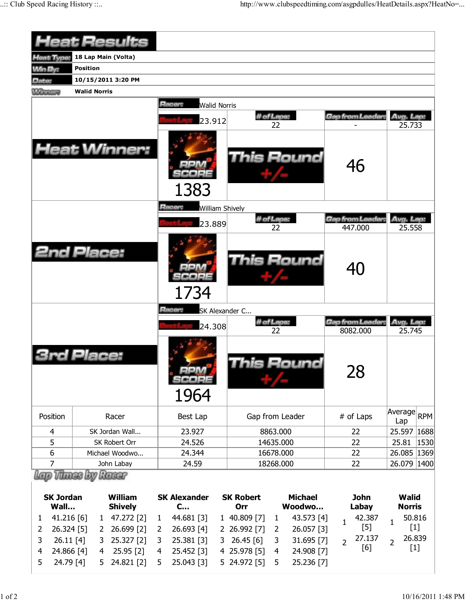|                                            |                         | <b>Heat Results</b>        |                            |                               |               |                        |                  |                   |                |                               |                |                     |            |
|--------------------------------------------|-------------------------|----------------------------|----------------------------|-------------------------------|---------------|------------------------|------------------|-------------------|----------------|-------------------------------|----------------|---------------------|------------|
| Heat Type:                                 |                         | 18 Lap Main (Volta)        |                            |                               |               |                        |                  |                   |                |                               |                |                     |            |
| <b>Win By:</b>                             | <b>Position</b>         |                            |                            |                               |               |                        |                  |                   |                |                               |                |                     |            |
| Date:                                      |                         | 10/15/2011 3:20 PM         |                            |                               |               |                        |                  |                   |                |                               |                |                     |            |
| <b>Winners</b>                             | <b>Walid Norris</b>     |                            |                            |                               |               |                        |                  |                   |                |                               |                |                     |            |
|                                            |                         |                            |                            | Racer:<br><b>Walid Norris</b> |               |                        |                  |                   |                |                               |                |                     |            |
|                                            |                         |                            |                            | 23.912                        |               |                        | # of Laps:       |                   |                | Gap from Leader               |                | Avg. Lap:           |            |
|                                            |                         |                            |                            |                               |               |                        | 22               |                   |                |                               |                | 25.733              |            |
|                                            |                         | <b>Heat Winner:</b>        |                            | 1383                          |               |                        |                  | <b>This Round</b> |                | 46                            |                |                     |            |
|                                            |                         |                            |                            | Racer:                        |               | <b>William Shively</b> |                  |                   |                |                               |                |                     |            |
|                                            |                         |                            |                            | 23.889                        |               |                        | # of Laps:       |                   |                | Gap from Leader               |                | Avg. Lap:           |            |
|                                            |                         |                            |                            |                               |               |                        | 22               |                   |                | 447.000                       |                | 25.558              |            |
| <b>2nd Place:</b>                          |                         |                            |                            | 1734                          |               |                        |                  | <b>This Round</b> |                | 40                            |                |                     |            |
|                                            |                         |                            |                            | Racer:                        |               | SK Alexander C         |                  |                   |                |                               |                |                     |            |
|                                            |                         |                            |                            | 24.308                        |               |                        | # of Laps:<br>22 |                   |                | Gap from Leader:<br>8082.000  |                | Avg. Lap.<br>25.745 |            |
|                                            | Place;                  |                            |                            | 30000<br>1964                 |               |                        |                  | This Round        |                | 28                            |                |                     |            |
| Position                                   |                         | Racer                      |                            | Best Lap                      |               | Gap from Leader        |                  |                   |                | # of Laps                     |                | Average<br>Lap      | <b>RPM</b> |
| 4                                          |                         | SK Jordan Wall             |                            | 23.927                        |               |                        | 8863.000         |                   |                | 22                            |                | 25.597              | 1688       |
| 5                                          |                         | SK Robert Orr              |                            | 24.526                        |               |                        | 14635.000        |                   |                | 22                            |                | 25.81               | 1530       |
| 6<br>Michael Woodwo                        |                         |                            |                            | 24.344                        |               | 16678.000              |                  |                   |                | 22                            |                | 26.085 1369         |            |
| $\overline{7}$                             |                         | John Labay                 |                            | 24.59                         |               |                        | 18268.000        |                   |                | 22                            |                | 26.079 1400         |            |
|                                            | <b><i>Hanes Lay</i></b> | Racar                      |                            |                               |               |                        |                  |                   |                |                               |                |                     |            |
|                                            |                         | <b>William</b>             |                            |                               |               | <b>SK Robert</b>       |                  | <b>Michael</b>    |                | <b>John</b>                   |                |                     |            |
| <b>SK Jordan</b><br>Wall<br><b>Shively</b> |                         |                            | <b>SK Alexander</b><br>$C$ |                               | Woodwo<br>Orr |                        | Labay            |                   |                | <b>Walid</b><br><b>Norris</b> |                |                     |            |
| 41.216 [6]<br>1                            |                         | 47.272 [2]<br>$\mathbf{1}$ |                            | 44.681 [3]                    |               | 1 40.809 [7]           | $\mathbf{1}$     | 43.573 [4]        |                | 42.387                        |                | 50.816              |            |
| 26.324 [5]<br>2                            | 2                       | 26.699 [2]                 | $\mathbf{1}$<br>2          | 26.693 [4]                    |               | 2 26.992 [7]           | 2                | 26.057 [3]        | $\mathbf 1$    | $[5]$                         | $\mathbf{1}$   | $[1]$               |            |
| 26.11[4]<br>3                              | 3                       | 25.327 [2]                 | 3                          | 25.381 [3]                    | 3             | 26.45[6]               | 3                | 31.695 [7]        | $\overline{2}$ | 27.137                        | $\overline{2}$ | 26.839              |            |
| 24.866 [4]<br>4                            | 4                       | 25.95 [2]                  | 4                          | 25.452 [3]                    |               | 4 25.978 [5]           | 4                | 24.908 [7]        |                | [6]                           |                | $[1]$               |            |
| 24.79 [4]<br>5                             | 5                       | 24.821 [2]                 | 5                          | 25.043 [3]                    |               | 5 24.972 [5]           | 5                | 25.236 [7]        |                |                               |                |                     |            |